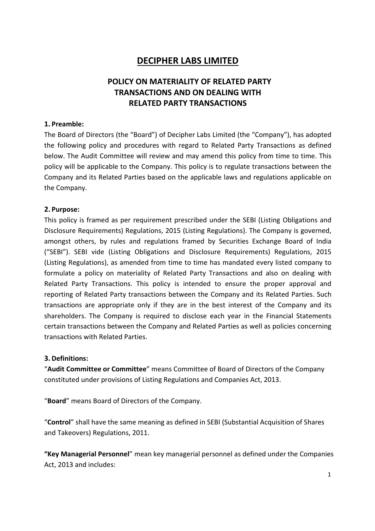# DECIPHER LABS LIMITED

## POLICY ON MATERIALITY OF RELATED PARTY TRANSACTIONS AND ON DEALING WITH RELATED PARTY TRANSACTIONS

#### 1. Preamble:

The Board of Directors (the "Board") of Decipher Labs Limited (the "Company"), has adopted the following policy and procedures with regard to Related Party Transactions as defined below. The Audit Committee will review and may amend this policy from time to time. This policy will be applicable to the Company. This policy is to regulate transactions between the Company and its Related Parties based on the applicable laws and regulations applicable on the Company.

#### 2. Purpose:

This policy is framed as per requirement prescribed under the SEBI (Listing Obligations and Disclosure Requirements) Regulations, 2015 (Listing Regulations). The Company is governed, amongst others, by rules and regulations framed by Securities Exchange Board of India ("SEBI"). SEBI vide (Listing Obligations and Disclosure Requirements) Regulations, 2015 (Listing Regulations), as amended from time to time has mandated every listed company to formulate a policy on materiality of Related Party Transactions and also on dealing with Related Party Transactions. This policy is intended to ensure the proper approval and reporting of Related Party transactions between the Company and its Related Parties. Such transactions are appropriate only if they are in the best interest of the Company and its shareholders. The Company is required to disclose each year in the Financial Statements certain transactions between the Company and Related Parties as well as policies concerning transactions with Related Parties.

#### 3. Definitions:

"Audit Committee or Committee" means Committee of Board of Directors of the Company constituted under provisions of Listing Regulations and Companies Act, 2013.

"Board" means Board of Directors of the Company.

"Control" shall have the same meaning as defined in SEBI (Substantial Acquisition of Shares and Takeovers) Regulations, 2011.

"Key Managerial Personnel" mean key managerial personnel as defined under the Companies Act, 2013 and includes: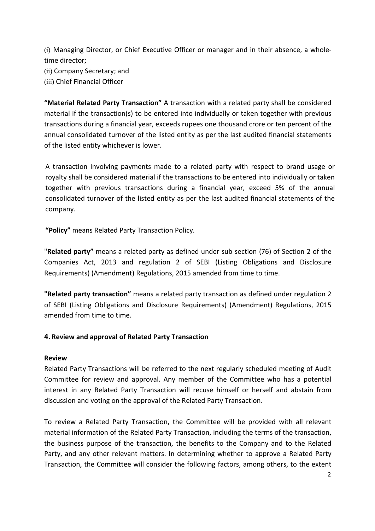(i) Managing Director, or Chief Executive Officer or manager and in their absence, a wholetime director;

(ii) Company Secretary; and

(iii) Chief Financial Officer

"Material Related Party Transaction" A transaction with a related party shall be considered material if the transaction(s) to be entered into individually or taken together with previous transactions during a financial year, exceeds rupees one thousand crore or ten percent of the annual consolidated turnover of the listed entity as per the last audited financial statements of the listed entity whichever is lower.

A transaction involving payments made to a related party with respect to brand usage or royalty shall be considered material if the transactions to be entered into individually or taken together with previous transactions during a financial year, exceed 5% of the annual consolidated turnover of the listed entity as per the last audited financial statements of the company.

"Policy" means Related Party Transaction Policy.

"Related party" means a related party as defined under sub section (76) of Section 2 of the Companies Act, 2013 and regulation 2 of SEBI (Listing Obligations and Disclosure Requirements) (Amendment) Regulations, 2015 amended from time to time.

"Related party transaction" means a related party transaction as defined under regulation 2 of SEBI (Listing Obligations and Disclosure Requirements) (Amendment) Regulations, 2015 amended from time to time.

## 4. Review and approval of Related Party Transaction

#### Review

Related Party Transactions will be referred to the next regularly scheduled meeting of Audit Committee for review and approval. Any member of the Committee who has a potential interest in any Related Party Transaction will recuse himself or herself and abstain from discussion and voting on the approval of the Related Party Transaction.

To review a Related Party Transaction, the Committee will be provided with all relevant material information of the Related Party Transaction, including the terms of the transaction, the business purpose of the transaction, the benefits to the Company and to the Related Party, and any other relevant matters. In determining whether to approve a Related Party Transaction, the Committee will consider the following factors, among others, to the extent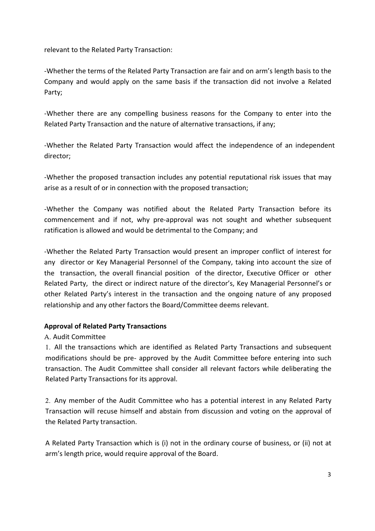relevant to the Related Party Transaction:

-Whether the terms of the Related Party Transaction are fair and on arm's length basis to the Company and would apply on the same basis if the transaction did not involve a Related Party;

-Whether there are any compelling business reasons for the Company to enter into the Related Party Transaction and the nature of alternative transactions, if any;

-Whether the Related Party Transaction would affect the independence of an independent director;

-Whether the proposed transaction includes any potential reputational risk issues that may arise as a result of or in connection with the proposed transaction;

-Whether the Company was notified about the Related Party Transaction before its commencement and if not, why pre-approval was not sought and whether subsequent ratification is allowed and would be detrimental to the Company; and

-Whether the Related Party Transaction would present an improper conflict of interest for any director or Key Managerial Personnel of the Company, taking into account the size of the transaction, the overall financial position of the director, Executive Officer or other Related Party, the direct or indirect nature of the director's, Key Managerial Personnel's or other Related Party's interest in the transaction and the ongoing nature of any proposed relationship and any other factors the Board/Committee deems relevant.

## Approval of Related Party Transactions

## A. Audit Committee

1. All the transactions which are identified as Related Party Transactions and subsequent modifications should be pre- approved by the Audit Committee before entering into such transaction. The Audit Committee shall consider all relevant factors while deliberating the Related Party Transactions for its approval.

2. Any member of the Audit Committee who has a potential interest in any Related Party Transaction will recuse himself and abstain from discussion and voting on the approval of the Related Party transaction.

A Related Party Transaction which is (i) not in the ordinary course of business, or (ii) not at arm's length price, would require approval of the Board.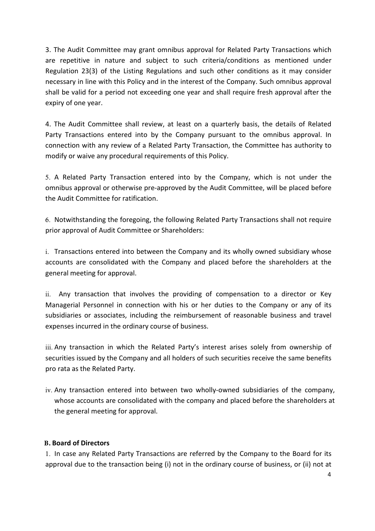3. The Audit Committee may grant omnibus approval for Related Party Transactions which are repetitive in nature and subject to such criteria/conditions as mentioned under Regulation 23(3) of the Listing Regulations and such other conditions as it may consider necessary in line with this Policy and in the interest of the Company. Such omnibus approval shall be valid for a period not exceeding one year and shall require fresh approval after the expiry of one year.

4. The Audit Committee shall review, at least on a quarterly basis, the details of Related Party Transactions entered into by the Company pursuant to the omnibus approval. In connection with any review of a Related Party Transaction, the Committee has authority to modify or waive any procedural requirements of this Policy.

5. A Related Party Transaction entered into by the Company, which is not under the omnibus approval or otherwise pre-approved by the Audit Committee, will be placed before the Audit Committee for ratification.

6. Notwithstanding the foregoing, the following Related Party Transactions shall not require prior approval of Audit Committee or Shareholders:

i. Transactions entered into between the Company and its wholly owned subsidiary whose accounts are consolidated with the Company and placed before the shareholders at the general meeting for approval.

ii. Any transaction that involves the providing of compensation to a director or Key Managerial Personnel in connection with his or her duties to the Company or any of its subsidiaries or associates, including the reimbursement of reasonable business and travel expenses incurred in the ordinary course of business.

iii. Any transaction in which the Related Party's interest arises solely from ownership of securities issued by the Company and all holders of such securities receive the same benefits pro rata as the Related Party.

iv. Any transaction entered into between two wholly-owned subsidiaries of the company, whose accounts are consolidated with the company and placed before the shareholders at the general meeting for approval.

## B. Board of Directors

1. In case any Related Party Transactions are referred by the Company to the Board for its approval due to the transaction being (i) not in the ordinary course of business, or (ii) not at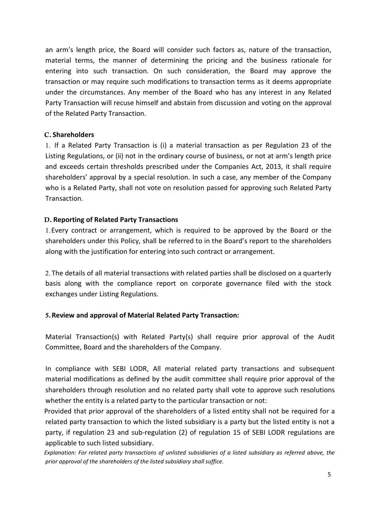an arm's length price, the Board will consider such factors as, nature of the transaction, material terms, the manner of determining the pricing and the business rationale for entering into such transaction. On such consideration, the Board may approve the transaction or may require such modifications to transaction terms as it deems appropriate under the circumstances. Any member of the Board who has any interest in any Related Party Transaction will recuse himself and abstain from discussion and voting on the approval of the Related Party Transaction.

#### C. Shareholders

1. If a Related Party Transaction is (i) a material transaction as per Regulation 23 of the Listing Regulations, or (ii) not in the ordinary course of business, or not at arm's length price and exceeds certain thresholds prescribed under the Companies Act, 2013, it shall require shareholders' approval by a special resolution. In such a case, any member of the Company who is a Related Party, shall not vote on resolution passed for approving such Related Party Transaction.

#### D. Reporting of Related Party Transactions

1.Every contract or arrangement, which is required to be approved by the Board or the shareholders under this Policy, shall be referred to in the Board's report to the shareholders along with the justification for entering into such contract or arrangement.

2. The details of all material transactions with related parties shall be disclosed on a quarterly basis along with the compliance report on corporate governance filed with the stock exchanges under Listing Regulations.

## 5.Review and approval of Material Related Party Transaction:

Material Transaction(s) with Related Party(s) shall require prior approval of the Audit Committee, Board and the shareholders of the Company.

In compliance with SEBI LODR, All material related party transactions and subsequent material modifications as defined by the audit committee shall require prior approval of the shareholders through resolution and no related party shall vote to approve such resolutions whether the entity is a related party to the particular transaction or not:

Provided that prior approval of the shareholders of a listed entity shall not be required for a related party transaction to which the listed subsidiary is a party but the listed entity is not a party, if regulation 23 and sub-regulation (2) of regulation 15 of SEBI LODR regulations are applicable to such listed subsidiary.

Explanation: For related party transactions of unlisted subsidiaries of a listed subsidiary as referred above, the prior approval of the shareholders of the listed subsidiary shall suffice.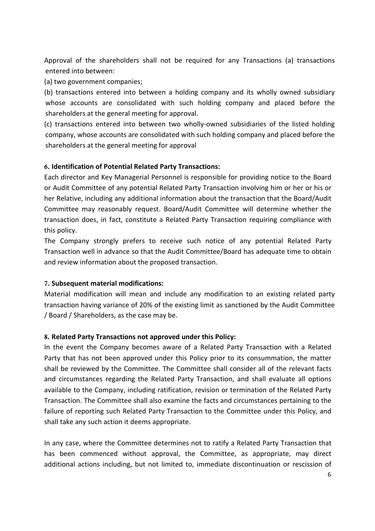Approval of the shareholders shall not be required for any Transactions (a) transactions entered into between:

(a) two government companies;

(b) transactions entered into between a holding company and its wholly owned subsidiary whose accounts are consolidated with such holding company and placed before the shareholders at the general meeting for approval.

(c) transactions entered into between two wholly-owned subsidiaries of the listed holding company, whose accounts are consolidated with such holding company and placed before the shareholders at the general meeting for approval

## 6. Identification of Potential Related Party Transactions:

Each director and Key Managerial Personnel is responsible for providing notice to the Board or Audit Committee of any potential Related Party Transaction involving him or her or his or her Relative, including any additional information about the transaction that the Board/Audit Committee may reasonably request. Board/Audit Committee will determine whether the transaction does, in fact, constitute a Related Party Transaction requiring compliance with this policy.

The Company strongly prefers to receive such notice of any potential Related Party Transaction well in advance so that the Audit Committee/Board has adequate time to obtain and review information about the proposed transaction.

## 7. Subsequent material modifications:

Material modification will mean and include any modification to an existing related party transaction having variance of 20% of the existing limit as sanctioned by the Audit Committee / Board / Shareholders, as the case may be.

## 8. Related Party Transactions not approved under this Policy:

In the event the Company becomes aware of a Related Party Transaction with a Related Party that has not been approved under this Policy prior to its consummation, the matter shall be reviewed by the Committee. The Committee shall consider all of the relevant facts and circumstances regarding the Related Party Transaction, and shall evaluate all options available to the Company, including ratification, revision or termination of the Related Party Transaction. The Committee shall also examine the facts and circumstances pertaining to the failure of reporting such Related Party Transaction to the Committee under this Policy, and shall take any such action it deems appropriate.

In any case, where the Committee determines not to ratify a Related Party Transaction that has been commenced without approval, the Committee, as appropriate, may direct additional actions including, but not limited to, immediate discontinuation or rescission of